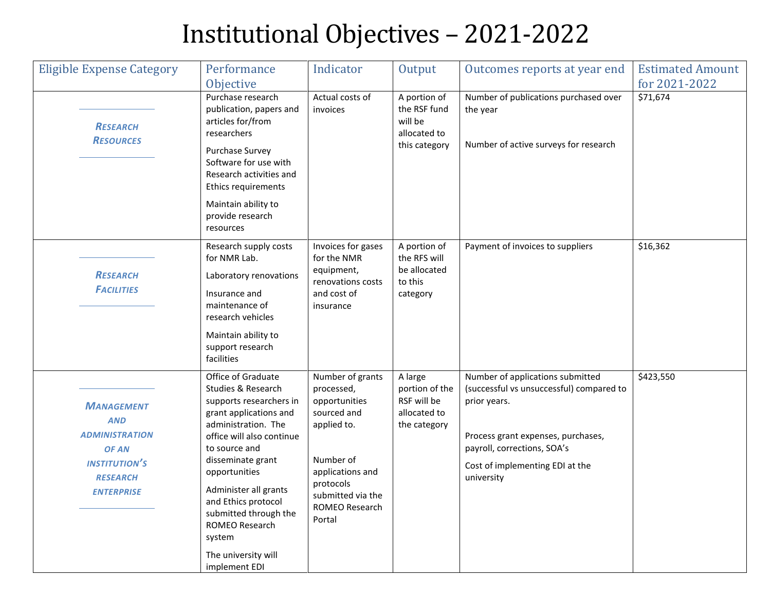## Institutional Objectives – 2021-2022

| <b>Eligible Expense Category</b>                                                                                                  | Performance<br>Objective                                                                                                                                                                                                                                                                                                                              | Indicator                                                                                                                                                                    | Output                                                                   | Outcomes reports at year end                                                                                                                                                                                       | <b>Estimated Amount</b><br>for 2021-2022 |
|-----------------------------------------------------------------------------------------------------------------------------------|-------------------------------------------------------------------------------------------------------------------------------------------------------------------------------------------------------------------------------------------------------------------------------------------------------------------------------------------------------|------------------------------------------------------------------------------------------------------------------------------------------------------------------------------|--------------------------------------------------------------------------|--------------------------------------------------------------------------------------------------------------------------------------------------------------------------------------------------------------------|------------------------------------------|
| <b>RESEARCH</b><br><b>RESOURCES</b>                                                                                               | Purchase research<br>publication, papers and<br>articles for/from<br>researchers<br>Purchase Survey<br>Software for use with<br>Research activities and<br>Ethics requirements<br>Maintain ability to<br>provide research<br>resources                                                                                                                | Actual costs of<br>invoices                                                                                                                                                  | A portion of<br>the RSF fund<br>will be<br>allocated to<br>this category | Number of publications purchased over<br>the year<br>Number of active surveys for research                                                                                                                         | \$71,674                                 |
| <b>RESEARCH</b><br><b>FACILITIES</b>                                                                                              | Research supply costs<br>for NMR Lab.<br>Laboratory renovations<br>Insurance and<br>maintenance of<br>research vehicles<br>Maintain ability to<br>support research<br>facilities                                                                                                                                                                      | Invoices for gases<br>for the NMR<br>equipment,<br>renovations costs<br>and cost of<br>insurance                                                                             | A portion of<br>the RFS will<br>be allocated<br>to this<br>category      | Payment of invoices to suppliers                                                                                                                                                                                   | \$16,362                                 |
| <b>MANAGEMENT</b><br><b>AND</b><br><b>ADMINISTRATION</b><br>OF AN<br><b>INSTITUTION'S</b><br><b>RESEARCH</b><br><b>ENTERPRISE</b> | Office of Graduate<br>Studies & Research<br>supports researchers in<br>grant applications and<br>administration. The<br>office will also continue<br>to source and<br>disseminate grant<br>opportunities<br>Administer all grants<br>and Ethics protocol<br>submitted through the<br>ROMEO Research<br>system<br>The university will<br>implement EDI | Number of grants<br>processed,<br>opportunities<br>sourced and<br>applied to.<br>Number of<br>applications and<br>protocols<br>submitted via the<br>ROMEO Research<br>Portal | A large<br>portion of the<br>RSF will be<br>allocated to<br>the category | Number of applications submitted<br>(successful vs unsuccessful) compared to<br>prior years.<br>Process grant expenses, purchases,<br>payroll, corrections, SOA's<br>Cost of implementing EDI at the<br>university | \$423,550                                |